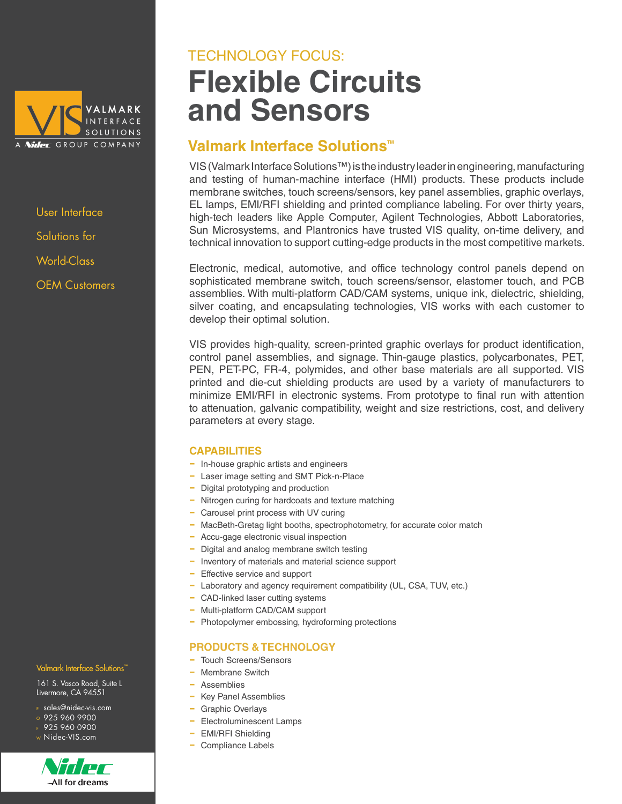

User Interface Solutions for World-Class OEM Customers

## **Flexible Circuits and Sensors** TECHNOLOGY FOCUS:

### **Valmark Interface Solutions™**

VIS (Valmark Interface Solutions™) is the industry leader in engineering, manufacturing and testing of human-machine interface (HMI) products. These products include membrane switches, touch screens/sensors, key panel assemblies, graphic overlays, EL lamps, EMI/RFI shielding and printed compliance labeling. For over thirty years, high-tech leaders like Apple Computer, Agilent Technologies, Abbott Laboratories, Sun Microsystems, and Plantronics have trusted VIS quality, on-time delivery, and technical innovation to support cutting-edge products in the most competitive markets.

Electronic, medical, automotive, and office technology control panels depend on sophisticated membrane switch, touch screens/sensor, elastomer touch, and PCB assemblies. With multi-platform CAD/CAM systems, unique ink, dielectric, shielding, silver coating, and encapsulating technologies, VIS works with each customer to develop their optimal solution.

VIS provides high-quality, screen-printed graphic overlays for product identification, control panel assemblies, and signage. Thin-gauge plastics, polycarbonates, PET, PEN, PET-PC, FR-4, polymides, and other base materials are all supported. VIS printed and die-cut shielding products are used by a variety of manufacturers to minimize EMI/RFI in electronic systems. From prototype to final run with attention to attenuation, galvanic compatibility, weight and size restrictions, cost, and delivery parameters at every stage.

### **CAPABILITIES**

- − In-house graphic artists and engineers
- − Laser image setting and SMT Pick-n-Place
- − Digital prototyping and production
- − Nitrogen curing for hardcoats and texture matching
- − Carousel print process with UV curing
- − MacBeth-Gretag light booths, spectrophotometry, for accurate color match
- − Accu-gage electronic visual inspection
- − Digital and analog membrane switch testing
- − Inventory of materials and material science support
- − Effective service and support
- − Laboratory and agency requirement compatibility (UL, CSA, TUV, etc.)
- − CAD-linked laser cutting systems
- − Multi-platform CAD/CAM support
- − Photopolymer embossing, hydroforming protections

### **PRODUCTS & TECHNOLOGY**

- − Touch Screens/Sensors
- − Membrane Switch
- − Assemblies
- − Key Panel Assemblies
- Graphic Overlays
- − Electroluminescent Lamps
- − EMI/RFI Shielding
- − Compliance Labels

### Valmark Interface Solutions<sup>"</sup>

161 S. Vasco Road, Suite L Livermore, CA 94551

- <sup>E</sup> sales@nidec-vis.com
- <sup>O</sup> 925 960 9900
- $F$  925 960 0900 <sup>W</sup> Nidec-VIS.com



All for dreams